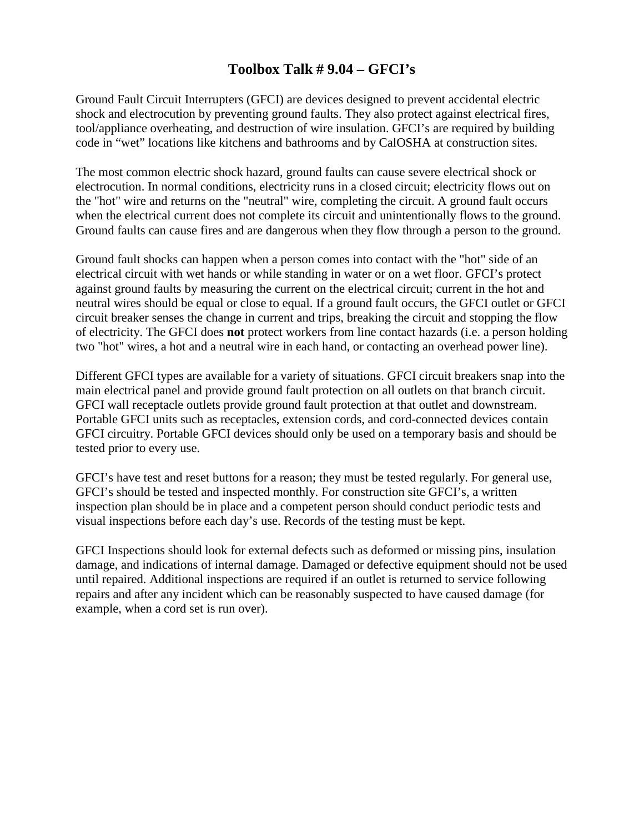## **Toolbox Talk # 9.04 – GFCI's**

Ground Fault Circuit Interrupters (GFCI) are devices designed to prevent accidental electric shock and electrocution by preventing ground faults. They also protect against electrical fires, tool/appliance overheating, and destruction of wire insulation. GFCI's are required by building code in "wet" locations like kitchens and bathrooms and by CalOSHA at construction sites.

The most common electric shock hazard, ground faults can cause severe electrical shock or electrocution. In normal conditions, electricity runs in a closed circuit; electricity flows out on the "hot" wire and returns on the "neutral" wire, completing the circuit. A ground fault occurs when the electrical current does not complete its circuit and unintentionally flows to the ground. Ground faults can cause fires and are dangerous when they flow through a person to the ground.

Ground fault shocks can happen when a person comes into contact with the "hot" side of an electrical circuit with wet hands or while standing in water or on a wet floor. GFCI's protect against ground faults by measuring the current on the electrical circuit; current in the hot and neutral wires should be equal or close to equal. If a ground fault occurs, the GFCI outlet or GFCI circuit breaker senses the change in current and trips, breaking the circuit and stopping the flow of electricity. The GFCI does **not** protect workers from line contact hazards (i.e. a person holding two "hot" wires, a hot and a neutral wire in each hand, or contacting an overhead power line).

Different GFCI types are available for a variety of situations. GFCI circuit breakers snap into the main electrical panel and provide ground fault protection on all outlets on that branch circuit. GFCI wall receptacle outlets provide ground fault protection at that outlet and downstream. Portable GFCI units such as receptacles, extension cords, and cord-connected devices contain GFCI circuitry. Portable GFCI devices should only be used on a temporary basis and should be tested prior to every use.

GFCI's have test and reset buttons for a reason; they must be tested regularly. For general use, GFCI's should be tested and inspected monthly. For construction site GFCI's, a written inspection plan should be in place and a competent person should conduct periodic tests and visual inspections before each day's use. Records of the testing must be kept.

GFCI Inspections should look for external defects such as deformed or missing pins, insulation damage, and indications of internal damage. Damaged or defective equipment should not be used until repaired. Additional inspections are required if an outlet is returned to service following repairs and after any incident which can be reasonably suspected to have caused damage (for example, when a cord set is run over).